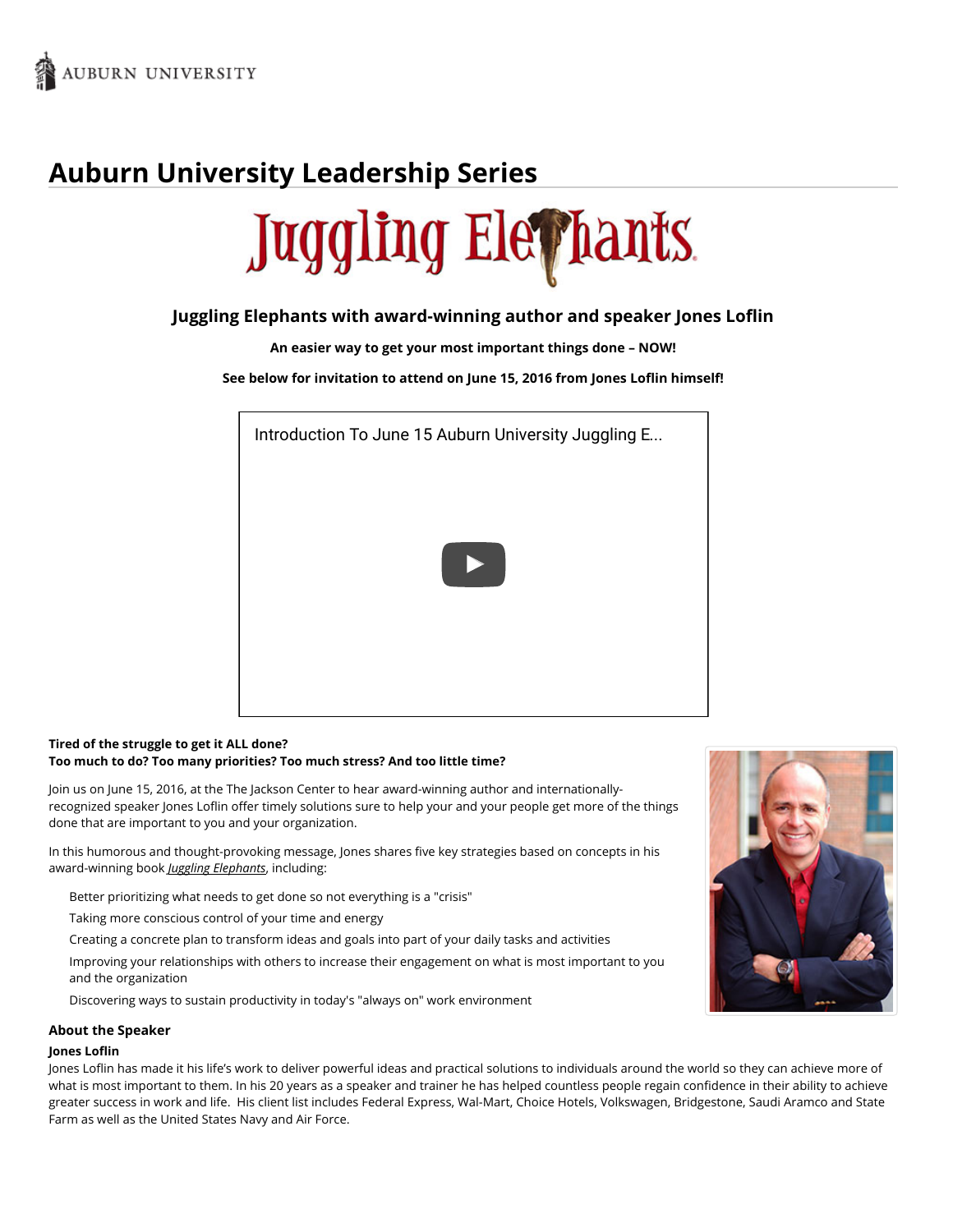

# **Auburn University Leadership Series**



## **Juggling Elephants with award-winning author and speaker Jones Loflin**

**An easier way to get your most important things done – NOW!**

**See below for invitation to attend on June 15, 2016 from Jones Loflin himself!**



## **Tired of the struggle to get it ALL done? Too much to do? Too many priorities? Too much stress? And too little time?**

Join us on June 15, 2016, at the The Jackson Center to hear award-winning author and internationallyrecognized speaker Jones Loflin offer timely solutions sure to help your and your people get more of the things done that are important to you and your organization.

In this humorous and thought-provoking message, Jones shares five key strategies based on concepts in his award-winning book *Juggling Elephants*, including:

- Better prioritizing what needs to get done so not everything is a "crisis"
- Taking more conscious control of your time and energy
- Creating a concrete plan to transform ideas and goals into part of your daily tasks and activities
- Improving your relationships with others to increase their engagement on what is most important to you and the organization
- Discovering ways to sustain productivity in today's "always on" work environment

#### **About the Speaker**

#### **Jones Loflin**

Jones Loflin has made it his life's work to deliver powerful ideas and practical solutions to individuals around the world so they can achieve more of what is most important to them. In his 20 years as a speaker and trainer he has helped countless people regain confidence in their ability to achieve greater success in work and life. His client list includes Federal Express, Wal-Mart, Choice Hotels, Volkswagen, Bridgestone, Saudi Aramco and State Farm as well as the United States Navy and Air Force.